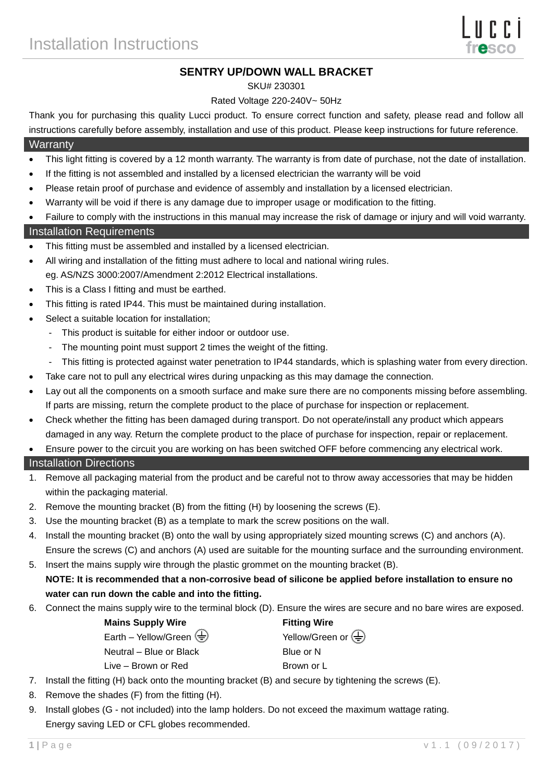# **SENTRY UP/DOWN WALL BRACKET**

#### SKU# 230301

#### Rated Voltage 220-240V~ 50Hz

Thank you for purchasing this quality Lucci product. To ensure correct function and safety, please read and follow all instructions carefully before assembly, installation and use of this product. Please keep instructions for future reference.

#### **Warranty**

- This light fitting is covered by a 12 month warranty. The warranty is from date of purchase, not the date of installation.
- If the fitting is not assembled and installed by a licensed electrician the warranty will be void
- Please retain proof of purchase and evidence of assembly and installation by a licensed electrician.
- Warranty will be void if there is any damage due to improper usage or modification to the fitting.
- Failure to comply with the instructions in this manual may increase the risk of damage or injury and will void warranty.

## Installation Requirements

- This fitting must be assembled and installed by a licensed electrician.
- All wiring and installation of the fitting must adhere to local and national wiring rules. eg. AS/NZS 3000:2007/Amendment 2:2012 Electrical installations.
- This is a Class I fitting and must be earthed.
- This fitting is rated IP44. This must be maintained during installation.
- Select a suitable location for installation;
	- This product is suitable for either indoor or outdoor use.
	- The mounting point must support 2 times the weight of the fitting.
	- This fitting is protected against water penetration to IP44 standards, which is splashing water from every direction.
- Take care not to pull any electrical wires during unpacking as this may damage the connection.
- Lay out all the components on a smooth surface and make sure there are no components missing before assembling. If parts are missing, return the complete product to the place of purchase for inspection or replacement.
- Check whether the fitting has been damaged during transport. Do not operate/install any product which appears damaged in any way. Return the complete product to the place of purchase for inspection, repair or replacement.
- Ensure power to the circuit you are working on has been switched OFF before commencing any electrical work.

## Installation Directions

- 1. Remove all packaging material from the product and be careful not to throw away accessories that may be hidden within the packaging material.
- 2. Remove the mounting bracket (B) from the fitting (H) by loosening the screws (E).
- 3. Use the mounting bracket (B) as a template to mark the screw positions on the wall.
- 4. Install the mounting bracket (B) onto the wall by using appropriately sized mounting screws (C) and anchors (A). Ensure the screws (C) and anchors (A) used are suitable for the mounting surface and the surrounding environment.
- 5. Insert the mains supply wire through the plastic grommet on the mounting bracket (B). **NOTE: It is recommended that a non-corrosive bead of silicone be applied before installation to ensure no**

## **water can run down the cable and into the fitting.**

6. Connect the mains supply wire to the terminal block (D). Ensure the wires are secure and no bare wires are exposed.

| <b>Mains Supply Wire</b>                                        | <b>Fitting Wire</b>                                  |
|-----------------------------------------------------------------|------------------------------------------------------|
| Earth – Yellow/Green $\left(\frac{\Gamma}{\overline{z}}\right)$ | Yellow/Green or $\left(\frac{\Gamma}{\Gamma}\right)$ |
| Neutral – Blue or Black                                         | Blue or N                                            |
| Live – Brown or Red                                             | Brown or L                                           |

- 7. Install the fitting (H) back onto the mounting bracket (B) and secure by tightening the screws (E).
- 8. Remove the shades (F) from the fitting (H).
- 9. Install globes (G not included) into the lamp holders. Do not exceed the maximum wattage rating. Energy saving LED or CFL globes recommended.